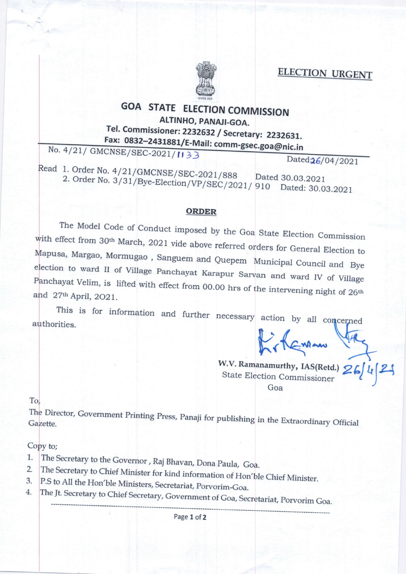ELECTION URGENT



## GOA STATE ELECTION COMMISSION ALTINHO, PANAJI-GOA. Tel. Commissioner: 2232632 / Secretary: 2232631.

No.  $4/21/$ \_ Fax: 0832-2431881/E-Mail: comm-gsec.goa@nic.in

Read 1. Order No. 4/21/GMCNSE/SEC-2021/888 Dated:26/04/2021 2. Order No. 3/31/Bye-Election/VP/SEC/2021/910 Dated: 30.0

Dated: 30.03.2021

## ORDER

The Model Code of Conduct imposed by the Goa State Election Commission Ith effect from 30<sup>th</sup> March, 2021 vide above referred orders for General Election to ...<br>apusa, Margao, Mormugao, Sengres, ... ... ... Mapusa, Margao, Mormugao, Sanguem and Quepem Municipal Council and Bye<br>election to ward II of Village Panchayat Karapur Sarvan and ward IV of Village Panchayat Velim, is lifted with effect from 00.00 hrs of the intervening night of 26<sup>th</sup> April, 2O21.

This is for information and further necessary action by all concerned authorities.

W.V. Ramanamurthy, IAS(Retd.) 26/4/24 State Election Commissioner Goa

To.

Director, Government Printing Press, Panaji for publishing in the Extraordinary Official<br>ette.

## Copy to;

- 1,. The Secretary to the Governor, Raj Bhavan, Dona Paula, Goa.
- 2. The Secretary to Chief Minister for kind information of Hon'ble Chief Minister.<br>P.S to All the Hon'ble Ministers, Secretariat, Porvorim-Goa.
- 3. 4.
- The Jt. Secretary to Chief Secretary, Government of Goa, Secretariat, Porvorim Goa.

Page 1 of 2